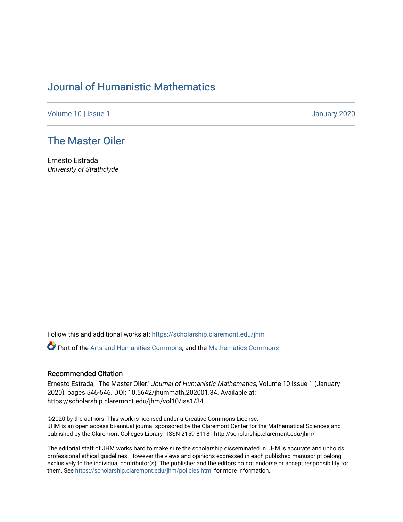## [Journal of Humanistic Mathematics](https://scholarship.claremont.edu/jhm)

[Volume 10](https://scholarship.claremont.edu/jhm/vol10) | Issue 1 January 2020

## [The Master Oiler](https://scholarship.claremont.edu/jhm/vol10/iss1/34)

Ernesto Estrada University of Strathclyde

Follow this and additional works at: [https://scholarship.claremont.edu/jhm](https://scholarship.claremont.edu/jhm?utm_source=scholarship.claremont.edu%2Fjhm%2Fvol10%2Fiss1%2F34&utm_medium=PDF&utm_campaign=PDFCoverPages)

Part of the [Arts and Humanities Commons,](http://network.bepress.com/hgg/discipline/438?utm_source=scholarship.claremont.edu%2Fjhm%2Fvol10%2Fiss1%2F34&utm_medium=PDF&utm_campaign=PDFCoverPages) and the [Mathematics Commons](http://network.bepress.com/hgg/discipline/174?utm_source=scholarship.claremont.edu%2Fjhm%2Fvol10%2Fiss1%2F34&utm_medium=PDF&utm_campaign=PDFCoverPages) 

## Recommended Citation

Ernesto Estrada, "The Master Oiler," Journal of Humanistic Mathematics, Volume 10 Issue 1 (January 2020), pages 546-546. DOI: 10.5642/jhummath.202001.34. Available at: https://scholarship.claremont.edu/jhm/vol10/iss1/34

©2020 by the authors. This work is licensed under a Creative Commons License. JHM is an open access bi-annual journal sponsored by the Claremont Center for the Mathematical Sciences and published by the Claremont Colleges Library | ISSN 2159-8118 | http://scholarship.claremont.edu/jhm/

The editorial staff of JHM works hard to make sure the scholarship disseminated in JHM is accurate and upholds professional ethical guidelines. However the views and opinions expressed in each published manuscript belong exclusively to the individual contributor(s). The publisher and the editors do not endorse or accept responsibility for them. See<https://scholarship.claremont.edu/jhm/policies.html> for more information.